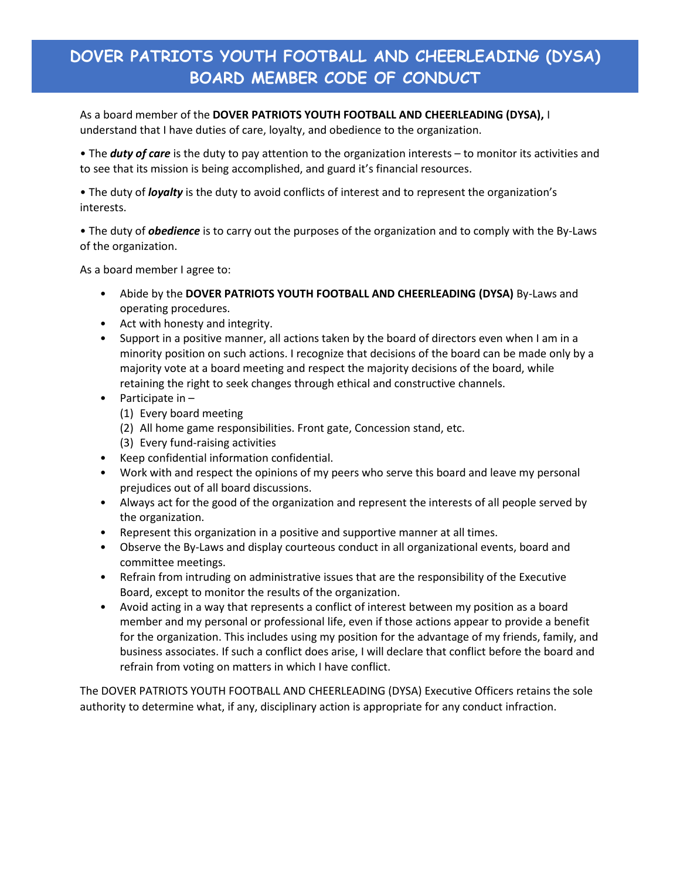## **DOVER PATRIOTS YOUTH FOOTBALL AND CHEERLEADING (DYSA) BOARD MEMBER CODE OF CONDUCT**

As a board member of the **DOVER PATRIOTS YOUTH FOOTBALL AND CHEERLEADING (DYSA),** I understand that I have duties of care, loyalty, and obedience to the organization.

• The *duty of care* is the duty to pay attention to the organization interests – to monitor its activities and to see that its mission is being accomplished, and guard it's financial resources.

• The duty of *loyalty* is the duty to avoid conflicts of interest and to represent the organization's interests.

• The duty of *obedience* is to carry out the purposes of the organization and to comply with the By-Laws of the organization.

As a board member I agree to:

- Abide by the **DOVER PATRIOTS YOUTH FOOTBALL AND CHEERLEADING (DYSA)** By-Laws and operating procedures.
- Act with honesty and integrity.
- Support in a positive manner, all actions taken by the board of directors even when I am in a minority position on such actions. I recognize that decisions of the board can be made only by a majority vote at a board meeting and respect the majority decisions of the board, while retaining the right to seek changes through ethical and constructive channels.
- Participate in
	- (1) Every board meeting
	- (2) All home game responsibilities. Front gate, Concession stand, etc.
	- (3) Every fund-raising activities
- Keep confidential information confidential.
- Work with and respect the opinions of my peers who serve this board and leave my personal prejudices out of all board discussions.
- Always act for the good of the organization and represent the interests of all people served by the organization.
- Represent this organization in a positive and supportive manner at all times.
- Observe the By-Laws and display courteous conduct in all organizational events, board and committee meetings.
- Refrain from intruding on administrative issues that are the responsibility of the Executive Board, except to monitor the results of the organization.
- Avoid acting in a way that represents a conflict of interest between my position as a board member and my personal or professional life, even if those actions appear to provide a benefit for the organization. This includes using my position for the advantage of my friends, family, and business associates. If such a conflict does arise, I will declare that conflict before the board and refrain from voting on matters in which I have conflict.

The DOVER PATRIOTS YOUTH FOOTBALL AND CHEERLEADING (DYSA) Executive Officers retains the sole authority to determine what, if any, disciplinary action is appropriate for any conduct infraction.